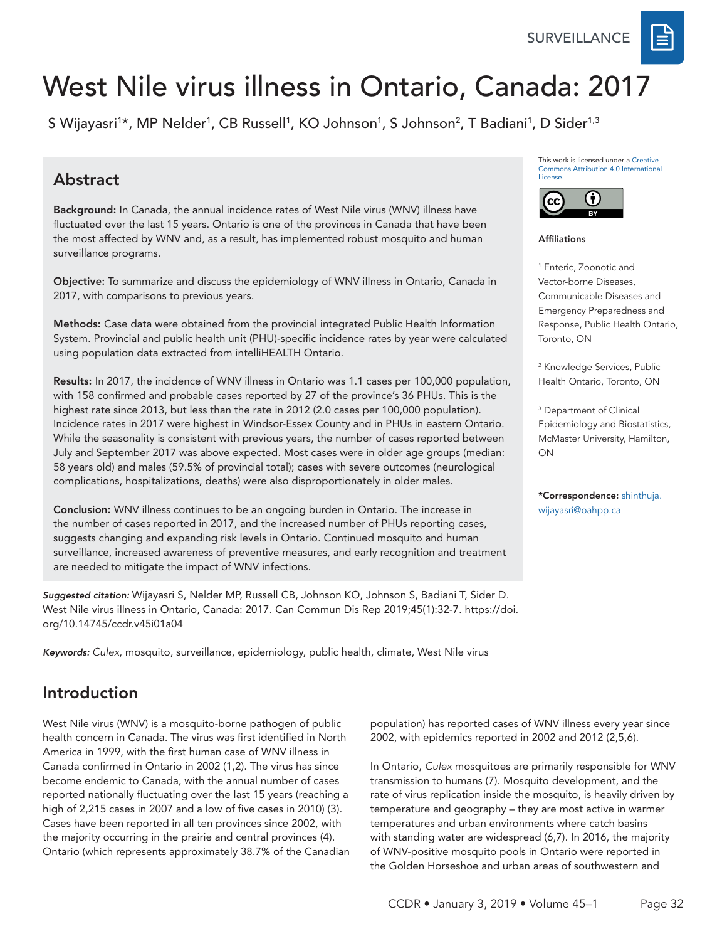SURVEILLANCE



S Wijayasri<sup>1</sup>\*, MP Nelder<sup>1</sup>, CB Russell<sup>1</sup>, KO Johnson<sup>1</sup>, S Johnson<sup>2</sup>, T Badiani<sup>1</sup>, D Sider<sup>1,3</sup>

## Abstract

Background: In Canada, the annual incidence rates of West Nile virus (WNV) illness have fluctuated over the last 15 years. Ontario is one of the provinces in Canada that have been the most affected by WNV and, as a result, has implemented robust mosquito and human surveillance programs.

Objective: To summarize and discuss the epidemiology of WNV illness in Ontario, Canada in 2017, with comparisons to previous years.

Methods: Case data were obtained from the provincial integrated Public Health Information System. Provincial and public health unit (PHU)-specific incidence rates by year were calculated using population data extracted from intelliHEALTH Ontario.

Results: In 2017, the incidence of WNV illness in Ontario was 1.1 cases per 100,000 population, with 158 confirmed and probable cases reported by 27 of the province's 36 PHUs. This is the highest rate since 2013, but less than the rate in 2012 (2.0 cases per 100,000 population). Incidence rates in 2017 were highest in Windsor-Essex County and in PHUs in eastern Ontario. While the seasonality is consistent with previous years, the number of cases reported between July and September 2017 was above expected. Most cases were in older age groups (median: 58 years old) and males (59.5% of provincial total); cases with severe outcomes (neurological complications, hospitalizations, deaths) were also disproportionately in older males.

Conclusion: WNV illness continues to be an ongoing burden in Ontario. The increase in the number of cases reported in 2017, and the increased number of PHUs reporting cases, suggests changing and expanding risk levels in Ontario. Continued mosquito and human surveillance, increased awareness of preventive measures, and early recognition and treatment are needed to mitigate the impact of WNV infections.

*Suggested citation:* Wijayasri S, Nelder MP, Russell CB, Johnson KO, Johnson S, Badiani T, Sider D*.*  West Nile virus illness in Ontario, Canada: 2017. Can Commun Dis Rep 2019;45(1):32-7. [https://doi.](https://doi.org/10.14745/ccdr.v45i01a04) [org/10.14745/ccdr.v45i01a04](https://doi.org/10.14745/ccdr.v45i01a04)

*Keywords: Culex*, mosquito, surveillance, epidemiology, public health, climate, West Nile virus

## Introduction

West Nile virus (WNV) is a mosquito-borne pathogen of public health concern in Canada. The virus was first identified in North America in 1999, with the first human case of WNV illness in Canada confirmed in Ontario in 2002 (1,2). The virus has since become endemic to Canada, with the annual number of cases reported nationally fluctuating over the last 15 years (reaching a high of 2,215 cases in 2007 and a low of five cases in 2010) (3). Cases have been reported in all ten provinces since 2002, with the majority occurring in the prairie and central provinces (4). Ontario (which represents approximately 38.7% of the Canadian This work is licensed under a [Creative](https://creativecommons.org/licenses/by/4.0/)  [Commons Attribution 4.0 International](https://creativecommons.org/licenses/by/4.0/)  [License](https://creativecommons.org/licenses/by/4.0/).



Affiliations

1 Enteric, Zoonotic and Vector-borne Diseases, Communicable Diseases and Emergency Preparedness and Response, Public Health Ontario, Toronto, ON

2 Knowledge Services, Public Health Ontario, Toronto, ON

3 Department of Clinical Epidemiology and Biostatistics, McMaster University, Hamilton, ON

\*Correspondence: [shinthuja.](mailto:shinthuja.wijayasri%40oahpp.ca?subject=) [wijayasri@oahpp.ca](mailto:shinthuja.wijayasri%40oahpp.ca?subject=)

population) has reported cases of WNV illness every year since 2002, with epidemics reported in 2002 and 2012 (2,5,6).

In Ontario, *Culex* mosquitoes are primarily responsible for WNV transmission to humans (7). Mosquito development, and the rate of virus replication inside the mosquito, is heavily driven by temperature and geography – they are most active in warmer temperatures and urban environments where catch basins with standing water are widespread (6,7). In 2016, the majority of WNV-positive mosquito pools in Ontario were reported in the Golden Horseshoe and urban areas of southwestern and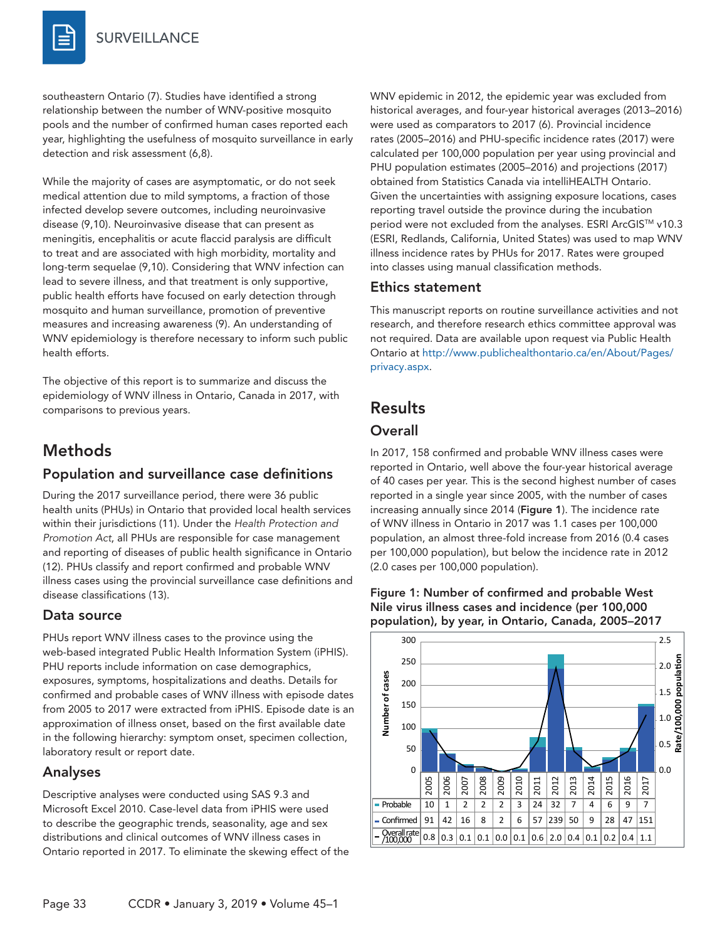southeastern Ontario (7). Studies have identified a strong relationship between the number of WNV-positive mosquito pools and the number of confirmed human cases reported each year, highlighting the usefulness of mosquito surveillance in early detection and risk assessment (6,8).

While the majority of cases are asymptomatic, or do not seek medical attention due to mild symptoms, a fraction of those infected develop severe outcomes, including neuroinvasive disease (9,10). Neuroinvasive disease that can present as meningitis, encephalitis or acute flaccid paralysis are difficult to treat and are associated with high morbidity, mortality and long-term sequelae (9,10). Considering that WNV infection can lead to severe illness, and that treatment is only supportive, public health efforts have focused on early detection through mosquito and human surveillance, promotion of preventive measures and increasing awareness (9). An understanding of WNV epidemiology is therefore necessary to inform such public health efforts.

The objective of this report is to summarize and discuss the epidemiology of WNV illness in Ontario, Canada in 2017, with comparisons to previous years.

## Methods

#### Population and surveillance case definitions

During the 2017 surveillance period, there were 36 public health units (PHUs) in Ontario that provided local health services within their jurisdictions (11). Under the *Health Protection and Promotion Act*, all PHUs are responsible for case management and reporting of diseases of public health significance in Ontario (12). PHUs classify and report confirmed and probable WNV illness cases using the provincial surveillance case definitions and disease classifications (13).

#### Data source

PHUs report WNV illness cases to the province using the web-based integrated Public Health Information System (iPHIS). PHU reports include information on case demographics, exposures, symptoms, hospitalizations and deaths. Details for confirmed and probable cases of WNV illness with episode dates from 2005 to 2017 were extracted from iPHIS. Episode date is an approximation of illness onset, based on the first available date in the following hierarchy: symptom onset, specimen collection, laboratory result or report date.

#### Analyses

Descriptive analyses were conducted using SAS 9.3 and Microsoft Excel 2010. Case-level data from iPHIS were used to describe the geographic trends, seasonality, age and sex distributions and clinical outcomes of WNV illness cases in Ontario reported in 2017. To eliminate the skewing effect of the WNV epidemic in 2012, the epidemic year was excluded from historical averages, and four-year historical averages (2013–2016) were used as comparators to 2017 (6). Provincial incidence rates (2005–2016) and PHU-specific incidence rates (2017) were calculated per 100,000 population per year using provincial and PHU population estimates (2005–2016) and projections (2017) obtained from Statistics Canada via intelliHEALTH Ontario. Given the uncertainties with assigning exposure locations, cases reporting travel outside the province during the incubation period were not excluded from the analyses. ESRI ArcGIS™ v10.3 (ESRI, Redlands, California, United States) was used to map WNV illness incidence rates by PHUs for 2017. Rates were grouped into classes using manual classification methods.

#### Ethics statement

This manuscript reports on routine surveillance activities and not research, and therefore research ethics committee approval was not required. Data are available upon request via Public Health Ontario at [http://www.publichealthontario.ca/en/About/Pages/](http://www.publichealthontario.ca/en/About/Pages/privacy.aspx) [privacy.aspx.](http://www.publichealthontario.ca/en/About/Pages/privacy.aspx)

## **Results**

### **Overall**

In 2017, 158 confirmed and probable WNV illness cases were reported in Ontario, well above the four-year historical average of 40 cases per year. This is the second highest number of cases reported in a single year since 2005, with the number of cases increasing annually since 2014 (Figure 1). The incidence rate of WNV illness in Ontario in 2017 was 1.1 cases per 100,000 population, an almost three-fold increase from 2016 (0.4 cases per 100,000 population), but below the incidence rate in 2012 (2.0 cases per 100,000 population).



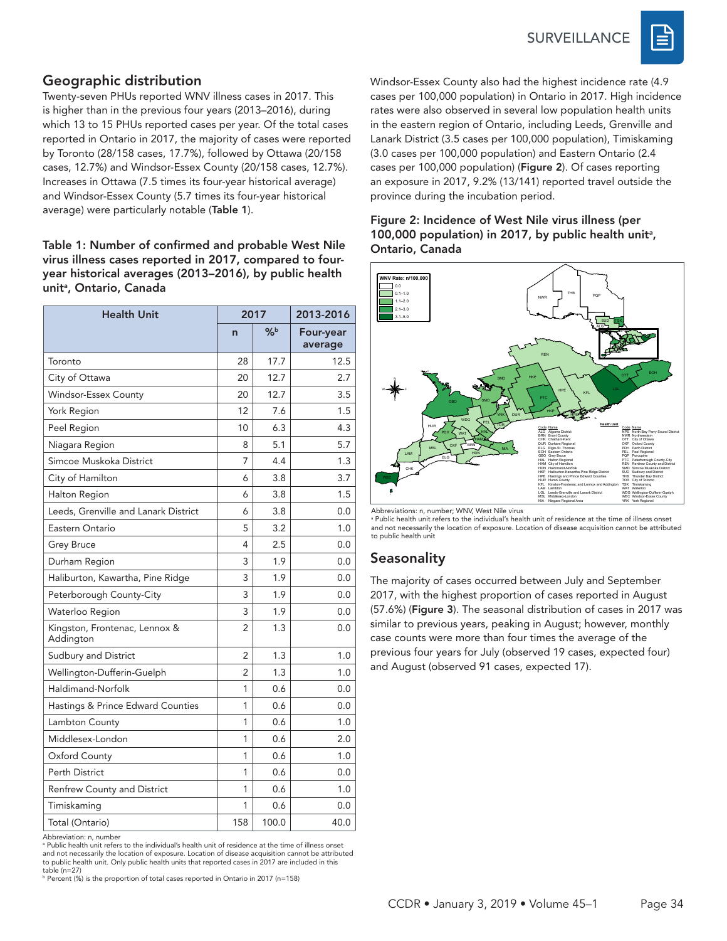**SURVEILLANCE** 



#### Geographic distribution

Twenty-seven PHUs reported WNV illness cases in 2017. This is higher than in the previous four years (2013–2016), during which 13 to 15 PHUs reported cases per year. Of the total cases reported in Ontario in 2017, the majority of cases were reported by Toronto (28/158 cases, 17.7%), followed by Ottawa (20/158 cases, 12.7%) and Windsor-Essex County (20/158 cases, 12.7%). Increases in Ottawa (7.5 times its four-year historical average) and Windsor-Essex County (5.7 times its four-year historical average) were particularly notable (Table 1).

#### Table 1: Number of confirmed and probable West Nile virus illness cases reported in 2017, compared to fouryear historical averages (2013–2016), by public health unit<sup>a</sup>, Ontario, Canada

| <b>Health Unit</b>                         |                | 2017          | 2013-2016            |  |  |  |
|--------------------------------------------|----------------|---------------|----------------------|--|--|--|
|                                            | $\overline{ }$ | $\frac{9}{6}$ | Four-year<br>average |  |  |  |
| Toronto                                    | 28             | 17.7          | 12.5                 |  |  |  |
| City of Ottawa                             | 20             | 12.7          | 2.7                  |  |  |  |
| Windsor-Essex County                       | 20             | 12.7          | 3.5                  |  |  |  |
| York Region                                | 12             | 7.6           | 1.5                  |  |  |  |
| Peel Region                                | 10             | 4.3           |                      |  |  |  |
| Niagara Region                             | 8              | 5.1           | 5.7                  |  |  |  |
| Simcoe Muskoka District                    | 7              | 4.4           | 1.3                  |  |  |  |
| City of Hamilton                           | 6              | 3.8           | 3.7                  |  |  |  |
| Halton Region                              | 6              | 3.8           | 1.5                  |  |  |  |
| Leeds, Grenville and Lanark District       | 6              | 3.8           | 0.0                  |  |  |  |
| Eastern Ontario                            | 5              | 3.2           | 1.0                  |  |  |  |
| Grey Bruce                                 | 4              | 2.5           | 0.0                  |  |  |  |
| Durham Region                              | 1.9<br>3       |               | 0.0                  |  |  |  |
| Haliburton, Kawartha, Pine Ridge           | 3              | 1.9           | 0.0                  |  |  |  |
| Peterborough County-City                   | 3              | 1.9           | 0.0                  |  |  |  |
| Waterloo Region                            | 3              | 1.9           | 0.0                  |  |  |  |
| Kingston, Frontenac, Lennox &<br>Addington | $\overline{2}$ | 1.3           | 0.0                  |  |  |  |
| Sudbury and District                       | 2              | 1.3           | 1.0                  |  |  |  |
| Wellington-Dufferin-Guelph                 | 2              | 1.3           | 1.0                  |  |  |  |
| Haldimand-Norfolk                          | 1              | 0.6           | 0.0                  |  |  |  |
| Hastings & Prince Edward Counties          | 1              | 0.6           | 0.0                  |  |  |  |
| Lambton County                             | 1              | 0.6           | 1.0                  |  |  |  |
| Middlesex-London                           | 1              | 0.6           | 2.0                  |  |  |  |
| Oxford County                              | 1              | 0.6           | 1.0                  |  |  |  |
| Perth District                             | 1              | 0.6           | 0.0                  |  |  |  |
| Renfrew County and District                | 1              | 0.6           | 1.0                  |  |  |  |
| Timiskaming                                | 1              | 0.6           | 0.0                  |  |  |  |
| Total (Ontario)                            | 158            | 100.0         | 40.0                 |  |  |  |

Abbreviation: n, number

a Public health unit refers to the individual's health unit of residence at the time of illness onset and not necessarily the location of exposure. Location of disease acquisition cannot be attributed to public health unit. Only public health units that reported cases in 2017 are included in this table (n=27)

<sup>b</sup> Percent (%) is the proportion of total cases reported in Ontario in 2017 (n=158)

Windsor-Essex County also had the highest incidence rate (4.9 cases per 100,000 population) in Ontario in 2017. High incidence rates were also observed in several low population health units in the eastern region of Ontario, including Leeds, Grenville and Lanark District (3.5 cases per 100,000 population), Timiskaming (3.0 cases per 100,000 population) and Eastern Ontario (2.4 cases per 100,000 population) (Figure 2). Of cases reporting an exposure in 2017, 9.2% (13/141) reported travel outside the province during the incubation period.

#### Figure 2: Incidence of West Nile virus illness (per 100,000 population) in 2017, by public health unit<sup>a</sup>, Ontario, Canada



Abbreviations: n, number; WNV, West Nile virus

a Public health unit refers to the individual's health unit of residence at the time of illness onset and not necessarily the location of exposure. Location of disease acquisition cannot be attributed to public health unit

#### **Seasonality**

The majority of cases occurred between July and September 2017, with the highest proportion of cases reported in August (57.6%) (Figure 3). The seasonal distribution of cases in 2017 was similar to previous years, peaking in August; however, monthly case counts were more than four times the average of the previous four years for July (observed 19 cases, expected four) and August (observed 91 cases, expected 17).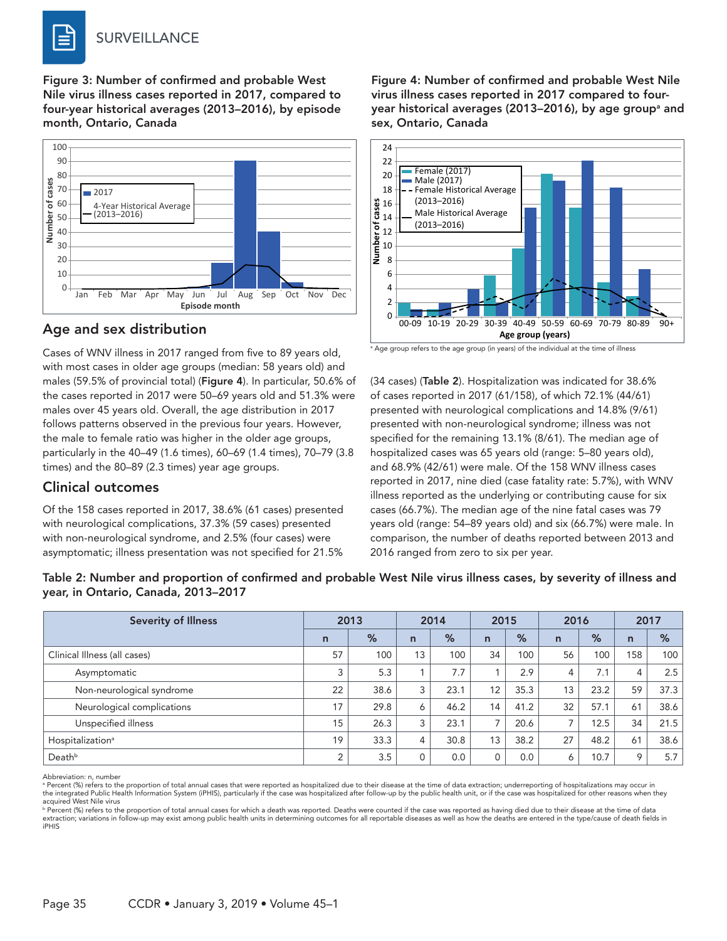Figure 3: Number of confirmed and probable West Nile virus illness cases reported in 2017, compared to four-year historical averages (2013–2016), by episode month, Ontario, Canada



#### Age and sex distribution

Cases of WNV illness in 2017 ranged from five to 89 years old, with most cases in older age groups (median: 58 years old) and males (59.5% of provincial total) (Figure 4). In particular, 50.6% of the cases reported in 2017 were 50–69 years old and 51.3% were males over 45 years old. Overall, the age distribution in 2017 follows patterns observed in the previous four years. However, the male to female ratio was higher in the older age groups, particularly in the 40–49 (1.6 times), 60–69 (1.4 times), 70–79 (3.8 times) and the 80–89 (2.3 times) year age groups.

### Clinical outcomes

Of the 158 cases reported in 2017, 38.6% (61 cases) presented with neurological complications, 37.3% (59 cases) presented with non-neurological syndrome, and 2.5% (four cases) were asymptomatic; illness presentation was not specified for 21.5%

Figure 4: Number of confirmed and probable West Nile virus illness cases reported in 2017 compared to fouryear historical averages (2013–2016), by age groupª and sex, Ontario, Canada



 $^{\circ}$  Age group refers to the age group (in years) of the individual at the time of illness

(34 cases) (Table 2). Hospitalization was indicated for 38.6% of cases reported in 2017 (61/158), of which 72.1% (44/61) presented with neurological complications and 14.8% (9/61) presented with non-neurological syndrome; illness was not specified for the remaining 13.1% (8/61). The median age of hospitalized cases was 65 years old (range: 5–80 years old), and 68.9% (42/61) were male. Of the 158 WNV illness cases reported in 2017, nine died (case fatality rate: 5.7%), with WNV illness reported as the underlying or contributing cause for six cases (66.7%). The median age of the nine fatal cases was 79 years old (range: 54–89 years old) and six (66.7%) were male. In comparison, the number of deaths reported between 2013 and 2016 ranged from zero to six per year.

#### Table 2: Number and proportion of confirmed and probable West Nile virus illness cases, by severity of illness and year, in Ontario, Canada, 2013–2017

| <b>Severity of Illness</b>   | 2013         |      | 2014         |      | 2015           |               | 2016                     |               | 2017           |      |
|------------------------------|--------------|------|--------------|------|----------------|---------------|--------------------------|---------------|----------------|------|
|                              | $\mathsf{n}$ | %    | $\mathsf{n}$ | %    | $\overline{n}$ | $\frac{9}{6}$ | $\mathsf{n}$             | $\frac{9}{6}$ | $\overline{n}$ | %    |
| Clinical Illness (all cases) | 57           | 100  | 13           | 100  | 34             | 100           | 56                       | 100           | 158            | 100  |
| Asymptomatic                 | 3            | 5.3  |              | 7.7  |                | 2.9           | 4                        | 7.1           | 4              | 2.5  |
| Non-neurological syndrome    | 22           | 38.6 | 3            | 23.1 | 12             | 35.3          | 13                       | 23.2          | 59             | 37.3 |
| Neurological complications   | 17           | 29.8 | 6            | 46.2 | 14             | 41.2          | 32                       | 57.1          | 61             | 38.6 |
| Unspecified illness          | 15           | 26.3 | 3            | 23.1 |                | 20.6          | $\overline{\phantom{a}}$ | 12.5          | 34             | 21.5 |
| Hospitalization <sup>a</sup> | 19           | 33.3 | 4            | 30.8 | 13             | 38.2          | 27                       | 48.2          | 61             | 38.6 |
| Deathb                       | 2            | 3.5  | 0            | 0.0  |                | 0.0           | 6                        | 10.7          | 9              | 5.7  |

Abbreviation: n, number

<sup>a</sup> Percent (%) refers to the proportion of total annual cases that were reported as hospitalized due to their disease at the time of data extraction; underreporting of hospitalizations may occur in the integrated Public Health Information System (iPHIS), particularly if the case was hospitalized after follow-up by the public health unit, or if the case was hospitalized for other reasons when they acquired West Nile virus

p<br>Percent (%) refers to the proportion of total annual cases for which a death was reported. Deaths were counted if the case was reported as having died due to their disease at the time of data extraction; variations in follow-up may exist among public health units in determining outcomes for all reportable diseases as well as how the deaths are entered in the type/cause of death fields in iPHIS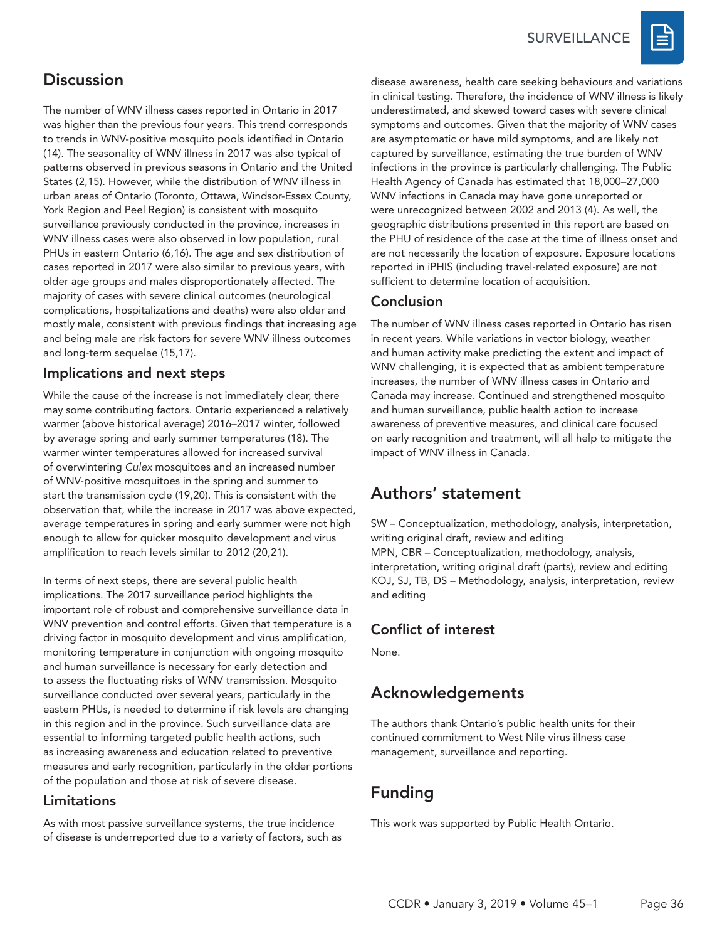**SURVEILLANCE** 



# **Discussion**

The number of WNV illness cases reported in Ontario in 2017 was higher than the previous four years. This trend corresponds to trends in WNV-positive mosquito pools identified in Ontario (14). The seasonality of WNV illness in 2017 was also typical of patterns observed in previous seasons in Ontario and the United States (2,15). However, while the distribution of WNV illness in urban areas of Ontario (Toronto, Ottawa, Windsor-Essex County, York Region and Peel Region) is consistent with mosquito surveillance previously conducted in the province, increases in WNV illness cases were also observed in low population, rural PHUs in eastern Ontario (6,16). The age and sex distribution of cases reported in 2017 were also similar to previous years, with older age groups and males disproportionately affected. The majority of cases with severe clinical outcomes (neurological complications, hospitalizations and deaths) were also older and mostly male, consistent with previous findings that increasing age and being male are risk factors for severe WNV illness outcomes and long-term sequelae (15,17).

#### Implications and next steps

While the cause of the increase is not immediately clear, there may some contributing factors. Ontario experienced a relatively warmer (above historical average) 2016–2017 winter, followed by average spring and early summer temperatures (18). The warmer winter temperatures allowed for increased survival of overwintering *Culex* mosquitoes and an increased number of WNV-positive mosquitoes in the spring and summer to start the transmission cycle (19,20). This is consistent with the observation that, while the increase in 2017 was above expected, average temperatures in spring and early summer were not high enough to allow for quicker mosquito development and virus amplification to reach levels similar to 2012 (20,21).

In terms of next steps, there are several public health implications. The 2017 surveillance period highlights the important role of robust and comprehensive surveillance data in WNV prevention and control efforts. Given that temperature is a driving factor in mosquito development and virus amplification, monitoring temperature in conjunction with ongoing mosquito and human surveillance is necessary for early detection and to assess the fluctuating risks of WNV transmission. Mosquito surveillance conducted over several years, particularly in the eastern PHUs, is needed to determine if risk levels are changing in this region and in the province. Such surveillance data are essential to informing targeted public health actions, such as increasing awareness and education related to preventive measures and early recognition, particularly in the older portions of the population and those at risk of severe disease.

#### Limitations

As with most passive surveillance systems, the true incidence of disease is underreported due to a variety of factors, such as disease awareness, health care seeking behaviours and variations in clinical testing. Therefore, the incidence of WNV illness is likely underestimated, and skewed toward cases with severe clinical symptoms and outcomes. Given that the majority of WNV cases are asymptomatic or have mild symptoms, and are likely not captured by surveillance, estimating the true burden of WNV infections in the province is particularly challenging. The Public Health Agency of Canada has estimated that 18,000–27,000 WNV infections in Canada may have gone unreported or were unrecognized between 2002 and 2013 (4). As well, the geographic distributions presented in this report are based on the PHU of residence of the case at the time of illness onset and are not necessarily the location of exposure. Exposure locations reported in iPHIS (including travel-related exposure) are not sufficient to determine location of acquisition.

### Conclusion

The number of WNV illness cases reported in Ontario has risen in recent years. While variations in vector biology, weather and human activity make predicting the extent and impact of WNV challenging, it is expected that as ambient temperature increases, the number of WNV illness cases in Ontario and Canada may increase. Continued and strengthened mosquito and human surveillance, public health action to increase awareness of preventive measures, and clinical care focused on early recognition and treatment, will all help to mitigate the impact of WNV illness in Canada.

## Authors' statement

SW – Conceptualization, methodology, analysis, interpretation, writing original draft, review and editing MPN, CBR – Conceptualization, methodology, analysis, interpretation, writing original draft (parts), review and editing KOJ, SJ, TB, DS – Methodology, analysis, interpretation, review and editing

### Conflict of interest

None.

# Acknowledgements

The authors thank Ontario's public health units for their continued commitment to West Nile virus illness case management, surveillance and reporting.

# Funding

This work was supported by Public Health Ontario.